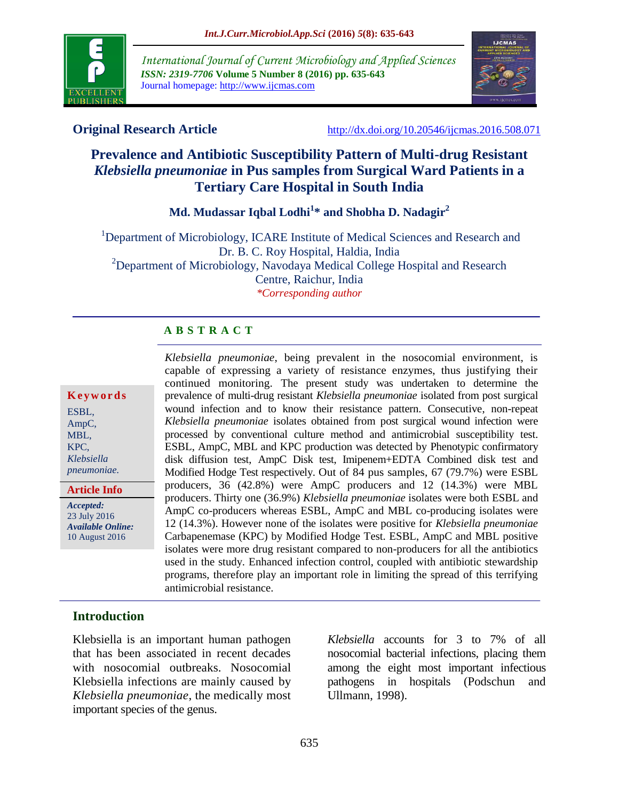

*International Journal of Current Microbiology and Applied Sciences ISSN: 2319-7706* **Volume 5 Number 8 (2016) pp. 635-643** Journal homepage: http://www.ijcmas.com



**Original Research Article** <http://dx.doi.org/10.20546/ijcmas.2016.508.071>

# **Prevalence and Antibiotic Susceptibility Pattern of Multi-drug Resistant**  *Klebsiella pneumoniae* **in Pus samples from Surgical Ward Patients in a Tertiary Care Hospital in South India**

**Md. Mudassar Iqbal Lodhi<sup>1</sup> \* and Shobha D. Nadagir<sup>2</sup>**

<sup>1</sup>Department of Microbiology, ICARE Institute of Medical Sciences and Research and Dr. B. C. Roy Hospital, Haldia, India <sup>2</sup>Department of Microbiology, Navodaya Medical College Hospital and Research Centre, Raichur, India *\*Corresponding author*

## **A B S T R A C T**

#### **K e y w o r d s**

ESBL, AmpC, MBL, KPC, *Klebsiella pneumoniae.*

**Article Info**

*Accepted:*  23 July 2016 *Available Online:* 10 August 2016

*Klebsiella pneumoniae*, being prevalent in the nosocomial environment, is capable of expressing a variety of resistance enzymes, thus justifying their continued monitoring. The present study was undertaken to determine the prevalence of multi-drug resistant *Klebsiella pneumoniae* isolated from post surgical wound infection and to know their resistance pattern. Consecutive, non-repeat *Klebsiella pneumoniae* isolates obtained from post surgical wound infection were processed by conventional culture method and antimicrobial susceptibility test. ESBL, AmpC, MBL and KPC production was detected by Phenotypic confirmatory disk diffusion test, AmpC Disk test, Imipenem+EDTA Combined disk test and Modified Hodge Test respectively. Out of 84 pus samples, 67 (79.7%) were ESBL producers, 36 (42.8%) were AmpC producers and 12 (14.3%) were MBL producers. Thirty one (36.9%) *Klebsiella pneumoniae* isolates were both ESBL and AmpC co-producers whereas ESBL, AmpC and MBL co-producing isolates were 12 (14.3%). However none of the isolates were positive for *Klebsiella pneumoniae*  Carbapenemase (KPC) by Modified Hodge Test. ESBL, AmpC and MBL positive isolates were more drug resistant compared to non-producers for all the antibiotics used in the study. Enhanced infection control, coupled with antibiotic stewardship programs, therefore play an important role in limiting the spread of this terrifying antimicrobial resistance.

## **Introduction**

Klebsiella is an important human pathogen that has been associated in recent decades with nosocomial outbreaks. Nosocomial Klebsiella infections are mainly caused by *Klebsiella pneumoniae*, the medically most important species of the genus.

*Klebsiella* accounts for 3 to 7% of all nosocomial bacterial infections, placing them among the eight most important infectious pathogens in hospitals (Podschun and Ullmann, 1998).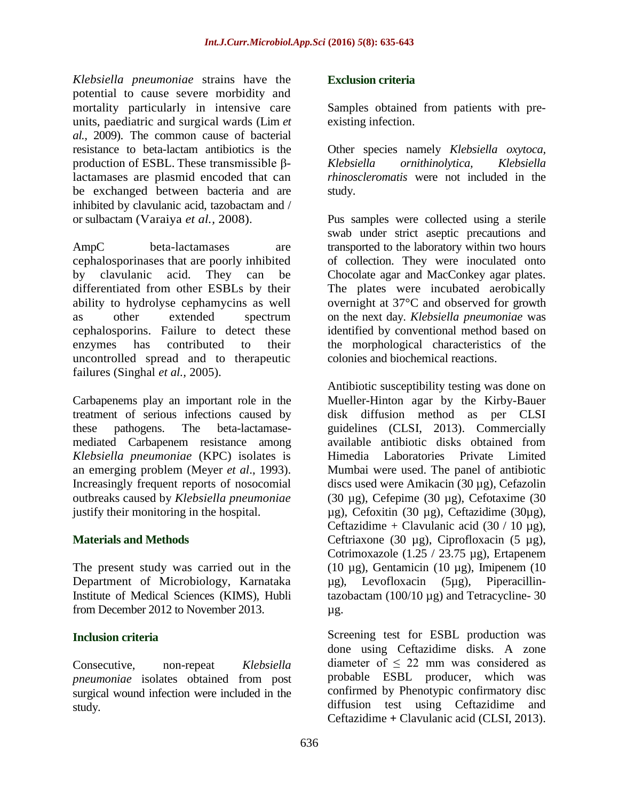*Klebsiella pneumoniae* strains have the potential to cause severe morbidity and mortality particularly in intensive care units, paediatric and surgical wards (Lim *et al.,* 2009). The common cause of bacterial resistance to beta-lactam antibiotics is the production of ESBL. These transmissible βlactamases are plasmid encoded that can be exchanged between bacteria and are inhibited by clavulanic acid, tazobactam and / or sulbactam (Varaiya *et al.,* 2008).

AmpC beta-lactamases are cephalosporinases that are poorly inhibited by clavulanic acid. They can be differentiated from other ESBLs by their ability to hydrolyse cephamycins as well as other extended spectrum cephalosporins. Failure to detect these enzymes has contributed to their uncontrolled spread and to therapeutic failures (Singhal *et al.,* 2005).

Carbapenems play an important role in the treatment of serious infections caused by these pathogens. The beta-lactamasemediated Carbapenem resistance among *Klebsiella pneumoniae* (KPC) isolates is an emerging problem (Meyer *et al*., 1993). Increasingly frequent reports of nosocomial outbreaks caused by *Klebsiella pneumoniae*  justify their monitoring in the hospital.

#### **Materials and Methods**

The present study was carried out in the Department of Microbiology, Karnataka Institute of Medical Sciences (KIMS), Hubli from December 2012 to November 2013.

## **Inclusion criteria**

Consecutive, non-repeat *Klebsiella pneumoniae* isolates obtained from post surgical wound infection were included in the study.

#### **Exclusion criteria**

Samples obtained from patients with preexisting infection.

Other species namely *Klebsiella oxytoca, Klebsiella ornithinolytica, Klebsiella rhinoscleromatis* were not included in the study.

Pus samples were collected using a sterile swab under strict aseptic precautions and transported to the laboratory within two hours of collection. They were inoculated onto Chocolate agar and MacConkey agar plates. The plates were incubated aerobically overnight at 37°C and observed for growth on the next day. *Klebsiella pneumoniae* was identified by conventional method based on the morphological characteristics of the colonies and biochemical reactions.

Antibiotic susceptibility testing was done on Mueller-Hinton agar by the Kirby-Bauer disk diffusion method as per CLSI guidelines (CLSI, 2013). Commercially available antibiotic disks obtained from Himedia Laboratories Private Limited Mumbai were used. The panel of antibiotic discs used were Amikacin (30 µg), Cefazolin (30 µg), Cefepime (30 µg), Cefotaxime (30 µg), Cefoxitin (30 µg), Ceftazidime (30µg), Ceftazidime + Clavulanic acid  $(30 / 10 \mu$ g), Ceftriaxone (30  $\mu$ g), Ciprofloxacin (5  $\mu$ g), Cotrimoxazole (1.25 / 23.75 µg), Ertapenem (10  $\mu$ g), Gentamicin (10  $\mu$ g), Imipenem (10 µg), Levofloxacin (5µg), Piperacillintazobactam  $(100/10 \mu g)$  and Tetracycline- 30 µg.

Screening test for ESBL production was done using Ceftazidime disks. A zone diameter of ≤ 22 mm was considered as probable ESBL producer, which was confirmed by Phenotypic confirmatory disc diffusion test using Ceftazidime and Ceftazidime **+** Clavulanic acid (CLSI, 2013).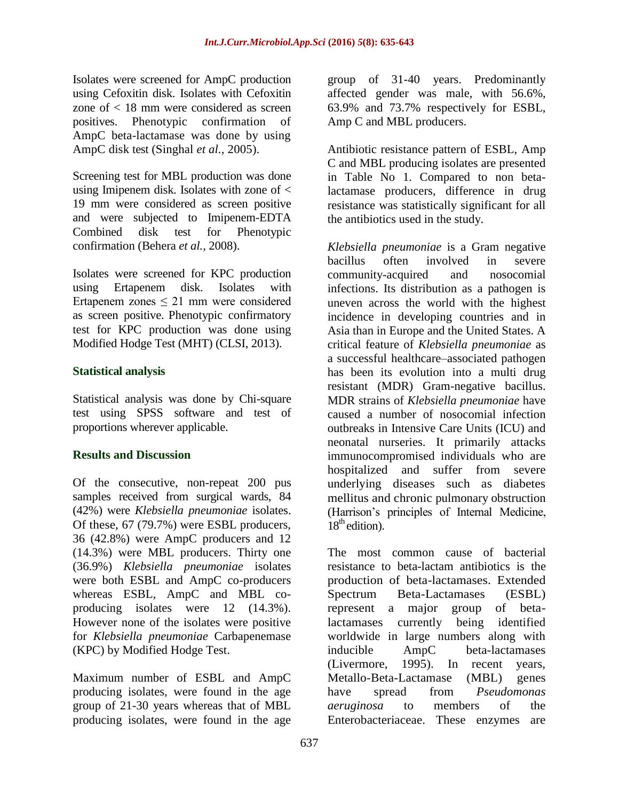Isolates were screened for AmpC production using Cefoxitin disk. Isolates with Cefoxitin zone of < 18 mm were considered as screen positives. Phenotypic confirmation of AmpC beta-lactamase was done by using AmpC disk test (Singhal *et al.,* 2005).

Screening test for MBL production was done using Imipenem disk. Isolates with zone of < 19 mm were considered as screen positive and were subjected to Imipenem-EDTA Combined disk test for Phenotypic confirmation (Behera *et al.,* 2008).

Isolates were screened for KPC production using Ertapenem disk. Isolates with Ertapenem zones ≤ 21 mm were considered as screen positive. Phenotypic confirmatory test for KPC production was done using Modified Hodge Test (MHT) (CLSI, 2013).

#### **Statistical analysis**

Statistical analysis was done by Chi-square test using SPSS software and test of proportions wherever applicable.

#### **Results and Discussion**

Of the consecutive, non-repeat 200 pus samples received from surgical wards, 84 (42%) were *Klebsiella pneumoniae* isolates. Of these, 67 (79.7%) were ESBL producers, 36 (42.8%) were AmpC producers and 12 (14.3%) were MBL producers. Thirty one (36.9%) *Klebsiella pneumoniae* isolates were both ESBL and AmpC co-producers whereas ESBL, AmpC and MBL coproducing isolates were 12 (14.3%). However none of the isolates were positive for *Klebsiella pneumoniae* Carbapenemase (KPC) by Modified Hodge Test.

Maximum number of ESBL and AmpC producing isolates, were found in the age group of 21-30 years whereas that of MBL producing isolates, were found in the age

group of 31-40 years. Predominantly affected gender was male, with 56.6%, 63.9% and 73.7% respectively for ESBL, Amp C and MBL producers.

Antibiotic resistance pattern of ESBL, Amp C and MBL producing isolates are presented in Table No 1. Compared to non betalactamase producers, difference in drug resistance was statistically significant for all the antibiotics used in the study.

*Klebsiella pneumoniae* is a Gram negative bacillus often involved in severe community-acquired and nosocomial infections. Its distribution as a pathogen is uneven across the world with the highest incidence in developing countries and in Asia than in Europe and the United States. A critical feature of *Klebsiella pneumoniae* as a successful healthcare–associated pathogen has been its evolution into a multi drug resistant (MDR) Gram-negative bacillus. MDR strains of *Klebsiella pneumoniae* have caused a number of nosocomial infection outbreaks in Intensive Care Units (ICU) and neonatal nurseries. It primarily attacks immunocompromised individuals who are hospitalized and suffer from severe underlying diseases such as diabetes mellitus and chronic pulmonary obstruction (Harrison's principles of Internal Medicine,  $18<sup>th</sup>$  edition).

The most common cause of bacterial resistance to beta-lactam antibiotics is the production of beta-lactamases. Extended Spectrum Beta-Lactamases (ESBL) represent a major group of betalactamases currently being identified worldwide in large numbers along with inducible AmpC beta-lactamases (Livermore, 1995). In recent years, Metallo-Beta-Lactamase (MBL) genes have spread from *Pseudomonas aeruginosa* to members of the Enterobacteriaceae. These enzymes are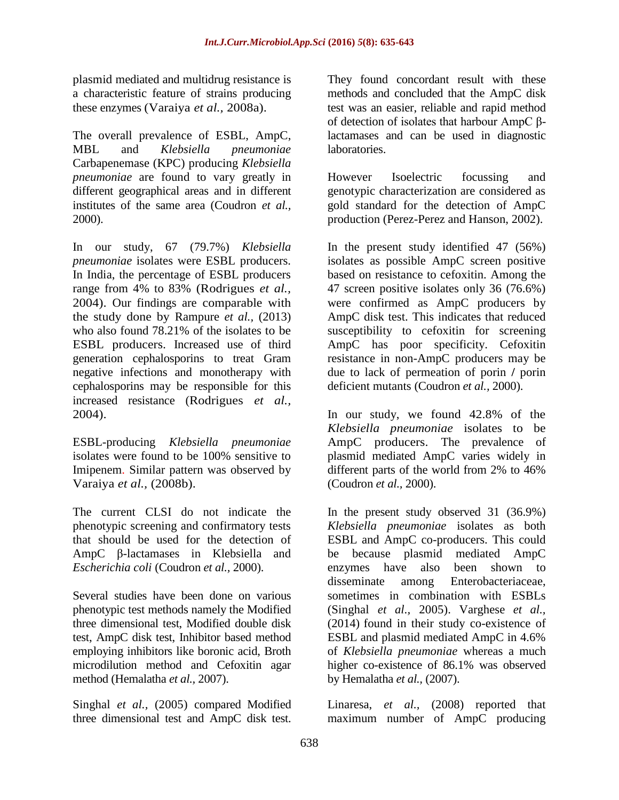plasmid mediated and multidrug resistance is a characteristic feature of strains producing these enzymes (Varaiya *et al.,* 2008a).

The overall prevalence of ESBL, AmpC, MBL and *Klebsiella pneumoniae*  Carbapenemase (KPC) producing *Klebsiella pneumoniae* are found to vary greatly in different geographical areas and in different institutes of the same area (Coudron *et al.,* 2000).

In our study, 67 (79.7%) *Klebsiella pneumoniae* isolates were ESBL producers. In India, the percentage of ESBL producers range from 4% to 83% (Rodrigues *et al.,* 2004). Our findings are comparable with the study done by Rampure *et al.,* (2013) who also found 78.21% of the isolates to be ESBL producers. Increased use of third generation cephalosporins to treat Gram negative infections and monotherapy with cephalosporins may be responsible for this increased resistance (Rodrigues *et al.,* 2004).

ESBL-producing *Klebsiella pneumoniae*  isolates were found to be 100% sensitive to Imipenem. Similar pattern was observed by Varaiya *et al.,* (2008b).

The current CLSI do not indicate the phenotypic screening and confirmatory tests that should be used for the detection of AmpC β-lactamases in Klebsiella and *Escherichia coli* (Coudron *et al.,* 2000).

Several studies have been done on various phenotypic test methods namely the Modified three dimensional test, Modified double disk test, AmpC disk test, Inhibitor based method employing inhibitors like boronic acid, Broth microdilution method and Cefoxitin agar method (Hemalatha *et al.,* 2007).

Singhal *et al.,* (2005) compared Modified three dimensional test and AmpC disk test.

They found concordant result with these methods and concluded that the AmpC disk test was an easier, reliable and rapid method of detection of isolates that harbour AmpC βlactamases and can be used in diagnostic laboratories.

However Isoelectric focussing and genotypic characterization are considered as gold standard for the detection of AmpC production (Perez-Perez and Hanson, 2002).

In the present study identified 47 (56%) isolates as possible AmpC screen positive based on resistance to cefoxitin. Among the 47 screen positive isolates only 36 (76.6%) were confirmed as AmpC producers by AmpC disk test. This indicates that reduced susceptibility to cefoxitin for screening AmpC has poor specificity. Cefoxitin resistance in non-AmpC producers may be due to lack of permeation of porin **/** porin deficient mutants (Coudron *et al.,* 2000).

In our study, we found 42.8% of the *Klebsiella pneumoniae* isolates to be AmpC producers. The prevalence of plasmid mediated AmpC varies widely in different parts of the world from 2% to 46% (Coudron *et al.,* 2000).

In the present study observed 31 (36.9%) *Klebsiella pneumoniae* isolates as both ESBL and AmpC co-producers. This could be because plasmid mediated AmpC enzymes have also been shown to disseminate among Enterobacteriaceae, sometimes in combination with ESBLs (Singhal *et al.,* 2005). Varghese *et al.,* (2014) found in their study co-existence of ESBL and plasmid mediated AmpC in 4.6% of *Klebsiella pneumoniae* whereas a much higher co-existence of 86.1% was observed by Hemalatha *et al.,* (2007).

Linaresa, *et al.,* (2008) reported that maximum number of AmpC producing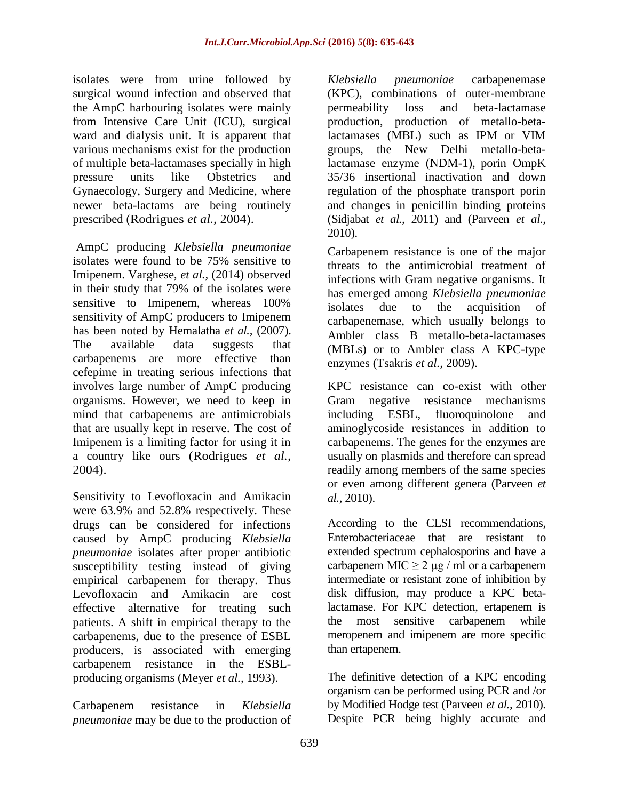isolates were from urine followed by surgical wound infection and observed that the AmpC harbouring isolates were mainly from Intensive Care Unit (ICU), surgical ward and dialysis unit. It is apparent that various mechanisms exist for the production of multiple beta-lactamases specially in high pressure units like Obstetrics and Gynaecology, Surgery and Medicine, where newer beta-lactams are being routinely prescribed (Rodrigues *et al.,* 2004).

AmpC producing *Klebsiella pneumoniae*  isolates were found to be 75% sensitive to Imipenem. Varghese, *et al.,* (2014) observed in their study that 79% of the isolates were sensitive to Imipenem, whereas 100% sensitivity of AmpC producers to Imipenem has been noted by Hemalatha *et al.,* (2007). The available data suggests that carbapenems are more effective than cefepime in treating serious infections that involves large number of AmpC producing organisms. However, we need to keep in mind that carbapenems are antimicrobials that are usually kept in reserve. The cost of Imipenem is a limiting factor for using it in a country like ours (Rodrigues *et al.,* 2004).

Sensitivity to Levofloxacin and Amikacin were 63.9% and 52.8% respectively. These drugs can be considered for infections caused by AmpC producing *Klebsiella pneumoniae* isolates after proper antibiotic susceptibility testing instead of giving empirical carbapenem for therapy. Thus Levofloxacin and Amikacin are cost effective alternative for treating such patients. A shift in empirical therapy to the carbapenems, due to the presence of ESBL producers, is associated with emerging carbapenem resistance in the ESBLproducing organisms (Meyer *et al.,* 1993).

Carbapenem resistance in *Klebsiella pneumoniae* may be due to the production of

*Klebsiella pneumoniae* carbapenemase (KPC), combinations of outer-membrane permeability loss and beta-lactamase production, production of metallo-betalactamases (MBL) such as IPM or VIM groups, the New Delhi metallo-betalactamase enzyme (NDM-1), porin OmpK 35/36 insertional inactivation and down regulation of the phosphate transport porin and changes in penicillin binding proteins (Sidjabat *et al.,* 2011) and (Parveen *et al.,* 2010).

Carbapenem resistance is one of the major threats to the antimicrobial treatment of infections with Gram negative organisms. It has emerged among *Klebsiella pneumoniae*  isolates due to the acquisition of carbapenemase, which usually belongs to Ambler class B metallo-beta-lactamases (MBLs) or to Ambler class A KPC-type enzymes (Tsakris *et al.,* 2009).

KPC resistance can co-exist with other Gram negative resistance mechanisms including ESBL, fluoroquinolone and aminoglycoside resistances in addition to carbapenems. The genes for the enzymes are usually on plasmids and therefore can spread readily among members of the same species or even among different genera (Parveen *et al.,* 2010).

According to the CLSI recommendations, Enterobacteriaceae that are resistant to extended spectrum cephalosporins and have a carbapenem MIC  $\geq$  2 µg / ml or a carbapenem intermediate or resistant zone of inhibition by disk diffusion, may produce a KPC betalactamase. For KPC detection, ertapenem is the most sensitive carbapenem while meropenem and imipenem are more specific than ertapenem.

The definitive detection of a KPC encoding organism can be performed using PCR and /or by Modified Hodge test (Parveen *et al.,* 2010). Despite PCR being highly accurate and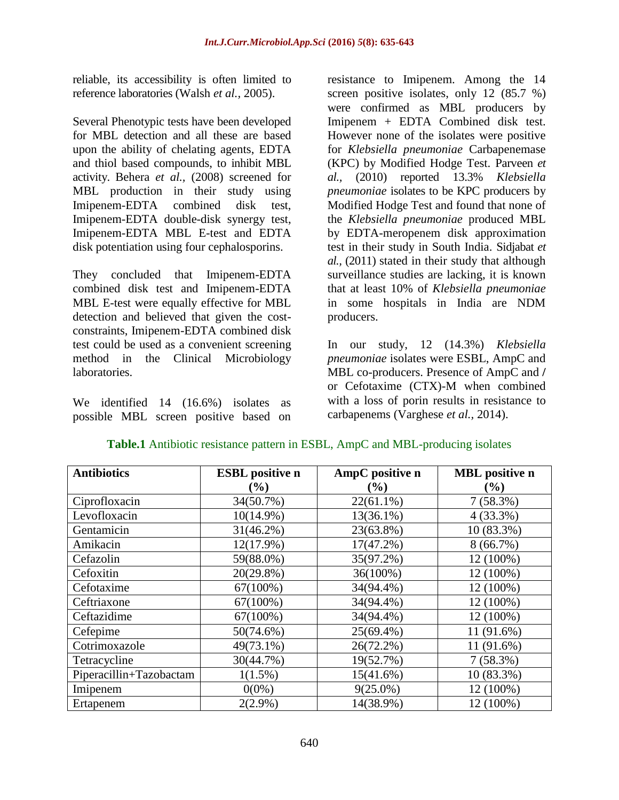reliable, its accessibility is often limited to reference laboratories (Walsh *et al.,* 2005).

Several Phenotypic tests have been developed for MBL detection and all these are based upon the ability of chelating agents, EDTA and thiol based compounds, to inhibit MBL activity. Behera *et al.,* (2008) screened for MBL production in their study using Imipenem-EDTA combined disk test, Imipenem-EDTA double-disk synergy test, Imipenem-EDTA MBL E-test and EDTA disk potentiation using four cephalosporins.

They concluded that Imipenem-EDTA combined disk test and Imipenem-EDTA MBL E-test were equally effective for MBL detection and believed that given the costconstraints, Imipenem-EDTA combined disk test could be used as a convenient screening method in the Clinical Microbiology laboratories.

We identified 14 (16.6%) isolates as possible MBL screen positive based on

resistance to Imipenem. Among the 14 screen positive isolates, only 12 (85.7 %) were confirmed as MBL producers by Imipenem + EDTA Combined disk test. However none of the isolates were positive for *Klebsiella pneumoniae* Carbapenemase (KPC) by Modified Hodge Test. Parveen *et al.,* (2010) reported 13.3% *Klebsiella pneumoniae* isolates to be KPC producers by Modified Hodge Test and found that none of the *Klebsiella pneumoniae* produced MBL by EDTA-meropenem disk approximation test in their study in South India. Sidjabat *et al.,* (2011) stated in their study that although surveillance studies are lacking, it is known that at least 10% of *Klebsiella pneumoniae* in some hospitals in India are NDM producers.

In our study, 12 (14.3%) *Klebsiella pneumoniae* isolates were ESBL, AmpC and MBL co-producers. Presence of AmpC and **/** or Cefotaxime (CTX)-M when combined with a loss of porin results in resistance to carbapenems (Varghese *et al.,* 2014).

| <b>Antibiotics</b>      | <b>ESBL</b> positive n | AmpC positive n              | <b>MBL</b> positive n |  |
|-------------------------|------------------------|------------------------------|-----------------------|--|
|                         | $(\%)$                 | $\left( \frac{0}{0} \right)$ | $(\%)$                |  |
| Ciprofloxacin           | 34(50.7%)              | $22(61.1\%)$                 | $7(58.3\%)$           |  |
| Levofloxacin            | $10(14.9\%)$           | $13(36.1\%)$                 | $4(33.3\%)$           |  |
| Gentamicin              | $31(46.2\%)$           | 23(63.8%)                    | 10 (83.3%)            |  |
| Amikacin                | 12(17.9%)              | $17(47.2\%)$                 | $8(66.7\%)$           |  |
| Cefazolin               | 59(88.0%)              | 35(97.2%)                    | 12 (100%)             |  |
| Cefoxitin               | $20(29.8\%)$           | 36(100%)                     | 12 (100%)             |  |
| Cefotaxime              | $67(100\%)$            | 34(94.4%)                    | 12 (100%)             |  |
| Ceftriaxone             | 67(100%)               | 34(94.4%)                    | 12 (100%)             |  |
| Ceftazidime             | $67(100\%)$            | 34(94.4%)                    | 12 (100%)             |  |
| Cefepime                | 50(74.6%)              | 25(69.4%)                    | 11 (91.6%)            |  |
| Cotrimoxazole           | 49(73.1%)              | $26(72.2\%)$                 | 11 (91.6%)            |  |
| Tetracycline            | 30(44.7%)              | 19(52.7%)                    | $7(58.3\%)$           |  |
| Piperacillin+Tazobactam | $1(1.5\%)$             | 15(41.6%)                    | 10 (83.3%)            |  |
| Imipenem                | $0(0\%)$               | $9(25.0\%)$                  | 12 (100%)             |  |
| Ertapenem               | $2(2.9\%)$             | 14(38.9%)                    | 12 (100%)             |  |

#### **Table.1** Antibiotic resistance pattern in ESBL, AmpC and MBL-producing isolates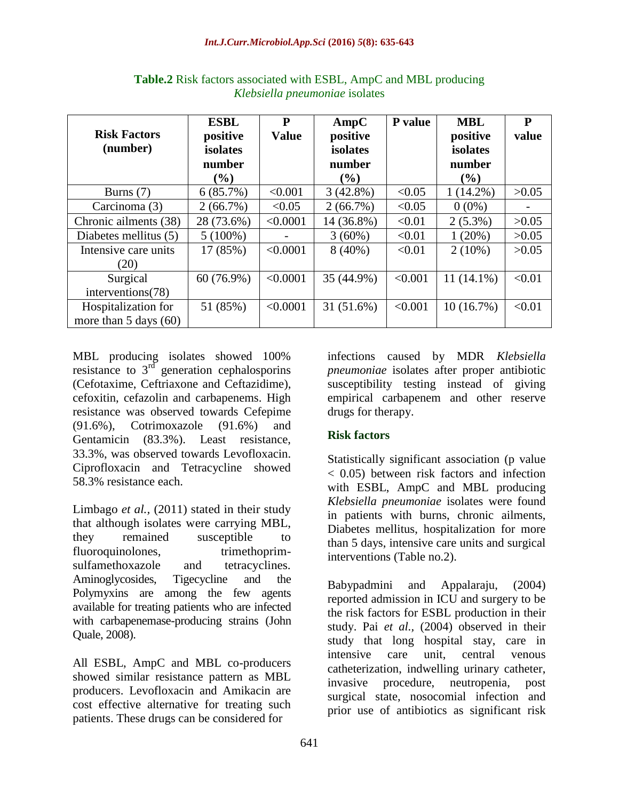| <b>Risk Factors</b><br>(number)  | <b>ESBL</b><br>positive<br>isolates<br>number | P<br><b>Value</b> | AmpC<br>positive<br>isolates<br>number | P value | <b>MBL</b><br>positive<br>isolates<br>number | P<br>value |
|----------------------------------|-----------------------------------------------|-------------------|----------------------------------------|---------|----------------------------------------------|------------|
|                                  | $($ %)                                        |                   | $($ %)                                 |         | $($ %)                                       |            |
| Burns $(7)$                      | 6(85.7%)                                      | < 0.001           | $3(42.8\%)$                            | < 0.05  | $1(14.2\%)$                                  | >0.05      |
| Carcinoma (3)                    | $2(66.7\%)$                                   | < 0.05            | $2(66.7\%)$                            | < 0.05  | $0(0\%)$                                     |            |
| Chronic ailments (38)            | 28 (73.6%)                                    | < 0.0001          | 14 (36.8%)                             | < 0.01  | $2(5.3\%)$                                   | >0.05      |
| Diabetes mellitus (5)            | $5(100\%)$                                    |                   | $3(60\%)$                              | < 0.01  | 1(20%)                                       | >0.05      |
| Intensive care units             | 17 (85%)                                      | < 0.0001          | $8(40\%)$                              | < 0.01  | $2(10\%)$                                    | >0.05      |
| (20)                             |                                               |                   |                                        |         |                                              |            |
| Surgical                         | $60(76.9\%)$                                  | < 0.0001          | 35 (44.9%)                             | < 0.001 | $11(14.1\%)$                                 | < 0.01     |
| interventions(78)                |                                               |                   |                                        |         |                                              |            |
| Hospitalization for              | 51 (85%)                                      | < 0.0001          | 31 (51.6%)                             | < 0.001 | 10(16.7%)                                    | < 0.01     |
| more than $5 \text{ days } (60)$ |                                               |                   |                                        |         |                                              |            |

**Table.2** Risk factors associated with ESBL, AmpC and MBL producing *Klebsiella pneumoniae* isolates

MBL producing isolates showed 100% resistance to  $3<sup>rd</sup>$  generation cephalosporins (Cefotaxime, Ceftriaxone and Ceftazidime), cefoxitin, cefazolin and carbapenems. High resistance was observed towards Cefepime (91.6%), Cotrimoxazole (91.6%) and Gentamicin (83.3%). Least resistance, 33.3%, was observed towards Levofloxacin. Ciprofloxacin and Tetracycline showed 58.3% resistance each.

Limbago *et al.,* (2011) stated in their study that although isolates were carrying MBL, they remained susceptible to fluoroquinolones, trimethoprimsulfamethoxazole and tetracyclines. Aminoglycosides, Tigecycline and the Polymyxins are among the few agents available for treating patients who are infected with carbapenemase-producing strains (John Quale, 2008).

All ESBL, AmpC and MBL co-producers showed similar resistance pattern as MBL producers. Levofloxacin and Amikacin are cost effective alternative for treating such patients. These drugs can be considered for

infections caused by MDR *Klebsiella pneumoniae* isolates after proper antibiotic susceptibility testing instead of giving empirical carbapenem and other reserve drugs for therapy.

## **Risk factors**

Statistically significant association (p value < 0.05) between risk factors and infection with ESBL, AmpC and MBL producing *Klebsiella pneumoniae* isolates were found in patients with burns, chronic ailments, Diabetes mellitus, hospitalization for more than 5 days, intensive care units and surgical interventions (Table no.2).

Babypadmini and Appalaraju, (2004) reported admission in ICU and surgery to be the risk factors for ESBL production in their study. Pai *et al.,* (2004) observed in their study that long hospital stay, care in intensive care unit, central venous catheterization, indwelling urinary catheter, invasive procedure, neutropenia, post surgical state, nosocomial infection and prior use of antibiotics as significant risk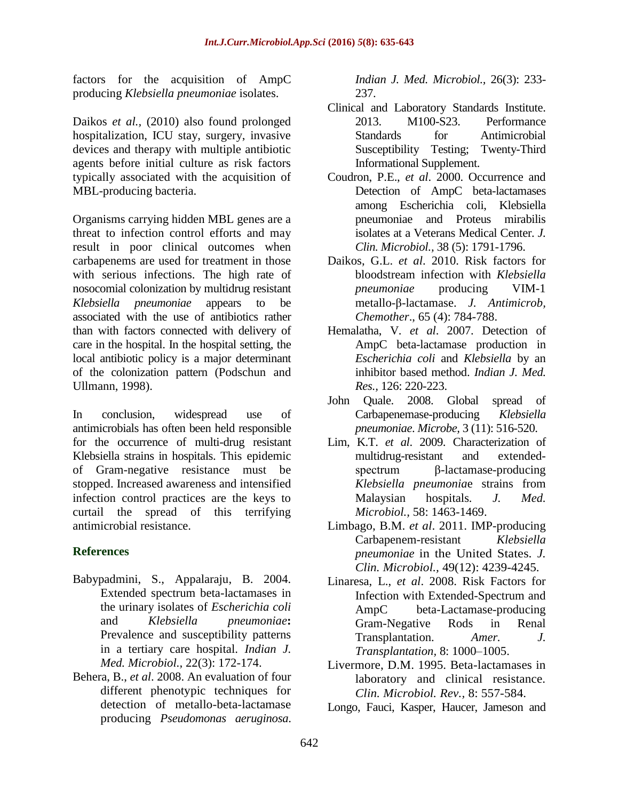factors for the acquisition of AmpC producing *Klebsiella pneumoniae* isolates.

Daikos *et al.,* (2010) also found prolonged hospitalization, ICU stay, surgery, invasive devices and therapy with multiple antibiotic agents before initial culture as risk factors typically associated with the acquisition of MBL-producing bacteria.

Organisms carrying hidden MBL genes are a threat to infection control efforts and may result in poor clinical outcomes when carbapenems are used for treatment in those with serious infections. The high rate of nosocomial colonization by multidrug resistant *Klebsiella pneumoniae* appears to be associated with the use of antibiotics rather than with factors connected with delivery of care in the hospital. In the hospital setting, the local antibiotic policy is a major determinant of the colonization pattern (Podschun and Ullmann, 1998).

In conclusion, widespread use of antimicrobials has often been held responsible for the occurrence of multi-drug resistant Klebsiella strains in hospitals. This epidemic of Gram-negative resistance must be stopped. Increased awareness and intensified infection control practices are the keys to curtail the spread of this terrifying antimicrobial resistance.

## **References**

- Babypadmini, S., Appalaraju, B. 2004. Extended spectrum beta-lactamases in the urinary isolates of *Escherichia coli* and *Klebsiella pneumoniae***:** Prevalence and susceptibility patterns in a tertiary care hospital. *Indian J. Med. Microbiol.,* 22(3): 172-174.
- Behera, B., *et al*. 2008. An evaluation of four different phenotypic techniques for detection of metallo-beta-lactamase producing *Pseudomonas aeruginosa*.

*Indian J. Med. Microbiol.,* 26(3): 233- 237.

- Clinical and Laboratory Standards Institute. 2013. M100-S23. Performance Standards for Antimicrobial Susceptibility Testing; Twenty-Third Informational Supplement.
- Coudron, P.E., *et al*. 2000. Occurrence and Detection of AmpC beta-lactamases among Escherichia coli, Klebsiella pneumoniae and Proteus mirabilis isolates at a Veterans Medical Center. *J. Clin. Microbiol.,* 38 (5): 1791-1796.
- Daikos, G.L. *et al*. 2010. Risk factors for bloodstream infection with *Klebsiella pneumoniae* producing VIM-1 metallo-β-lactamase. *J. Antimicrob, Chemother*., 65 (4): 784-788.
- Hemalatha, V. *et al*. 2007. Detection of AmpC beta-lactamase production in *Escherichia coli* and *Klebsiella* by an inhibitor based method. *Indian J. Med. Res.,* 126: 220-223.
- John Quale. 2008. Global spread of Carbapenemase-producing *Klebsiella pneumoniae*. *Microbe,* 3 (11): 516-520.
- Lim, K.T. *et al*. 2009. Characterization of multidrug-resistant and extendedspectrum β-lactamase-producing *Klebsiella pneumonia*e strains from Malaysian hospitals*. J. Med. Microbiol.,* 58: 1463-1469.
- Limbago, B.M. *et al*. 2011. IMP-producing Carbapenem-resistant *Klebsiella pneumoniae* in the United States*. J. Clin. Microbiol.,* 49(12): 4239-4245.
- Linaresa, L., *et al*. 2008. Risk Factors for Infection with Extended-Spectrum and AmpC beta-Lactamase-producing Gram-Negative Rods in Renal Transplantation. *Amer. J. Transplantation,* 8: 1000–1005.
- Livermore, D.M. 1995. Beta-lactamases in laboratory and clinical resistance. *Clin. Microbiol. Rev.,* 8: 557-584.
- Longo, Fauci, Kasper, Haucer, Jameson and